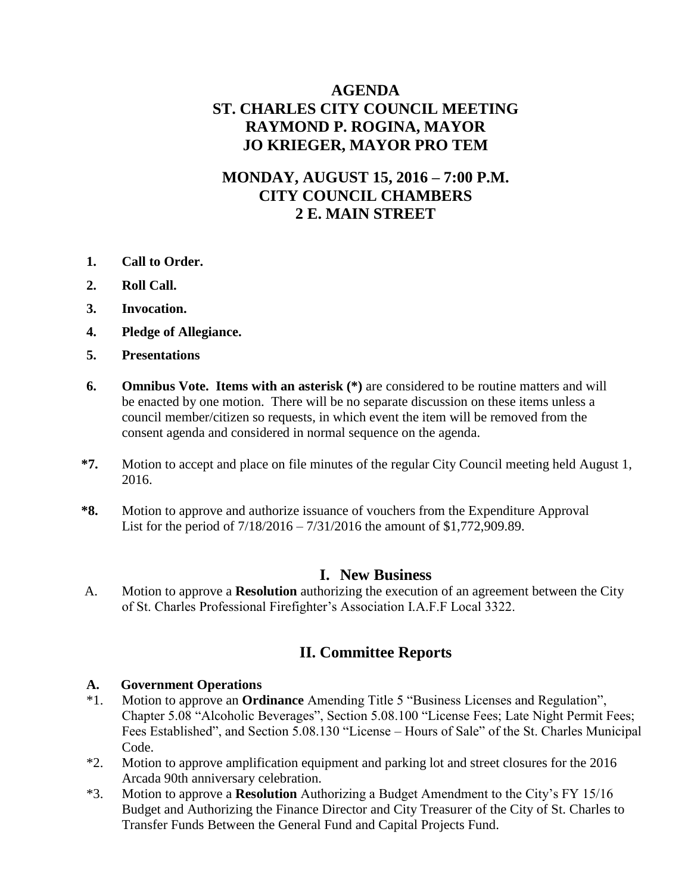# **AGENDA ST. CHARLES CITY COUNCIL MEETING RAYMOND P. ROGINA, MAYOR JO KRIEGER, MAYOR PRO TEM**

# **MONDAY, AUGUST 15, 2016 – 7:00 P.M. CITY COUNCIL CHAMBERS 2 E. MAIN STREET**

- **1. Call to Order.**
- **2. Roll Call.**
- **3. Invocation.**
- **4. Pledge of Allegiance.**
- **5. Presentations**
- **6. Omnibus Vote. Items with an asterisk (\*)** are considered to be routine matters and will be enacted by one motion. There will be no separate discussion on these items unless a council member/citizen so requests, in which event the item will be removed from the consent agenda and considered in normal sequence on the agenda.
- **\*7.** Motion to accept and place on file minutes of the regular City Council meeting held August 1, 2016.
- **\*8.** Motion to approve and authorize issuance of vouchers from the Expenditure Approval List for the period of 7/18/2016 – 7/31/2016 the amount of \$1,772,909.89.

#### **I. New Business**

A. Motion to approve a **Resolution** authorizing the execution of an agreement between the City of St. Charles Professional Firefighter's Association I.A.F.F Local 3322.

### **II. Committee Reports**

#### **A. Government Operations**

- \*1. Motion to approve an **Ordinance** Amending Title 5 "Business Licenses and Regulation", Chapter 5.08 "Alcoholic Beverages", Section 5.08.100 "License Fees; Late Night Permit Fees; Fees Established", and Section 5.08.130 "License – Hours of Sale" of the St. Charles Municipal Code.
- \*2. Motion to approve amplification equipment and parking lot and street closures for the 2016 Arcada 90th anniversary celebration.
- \*3. Motion to approve a **Resolution** Authorizing a Budget Amendment to the City's FY 15/16 Budget and Authorizing the Finance Director and City Treasurer of the City of St. Charles to Transfer Funds Between the General Fund and Capital Projects Fund.